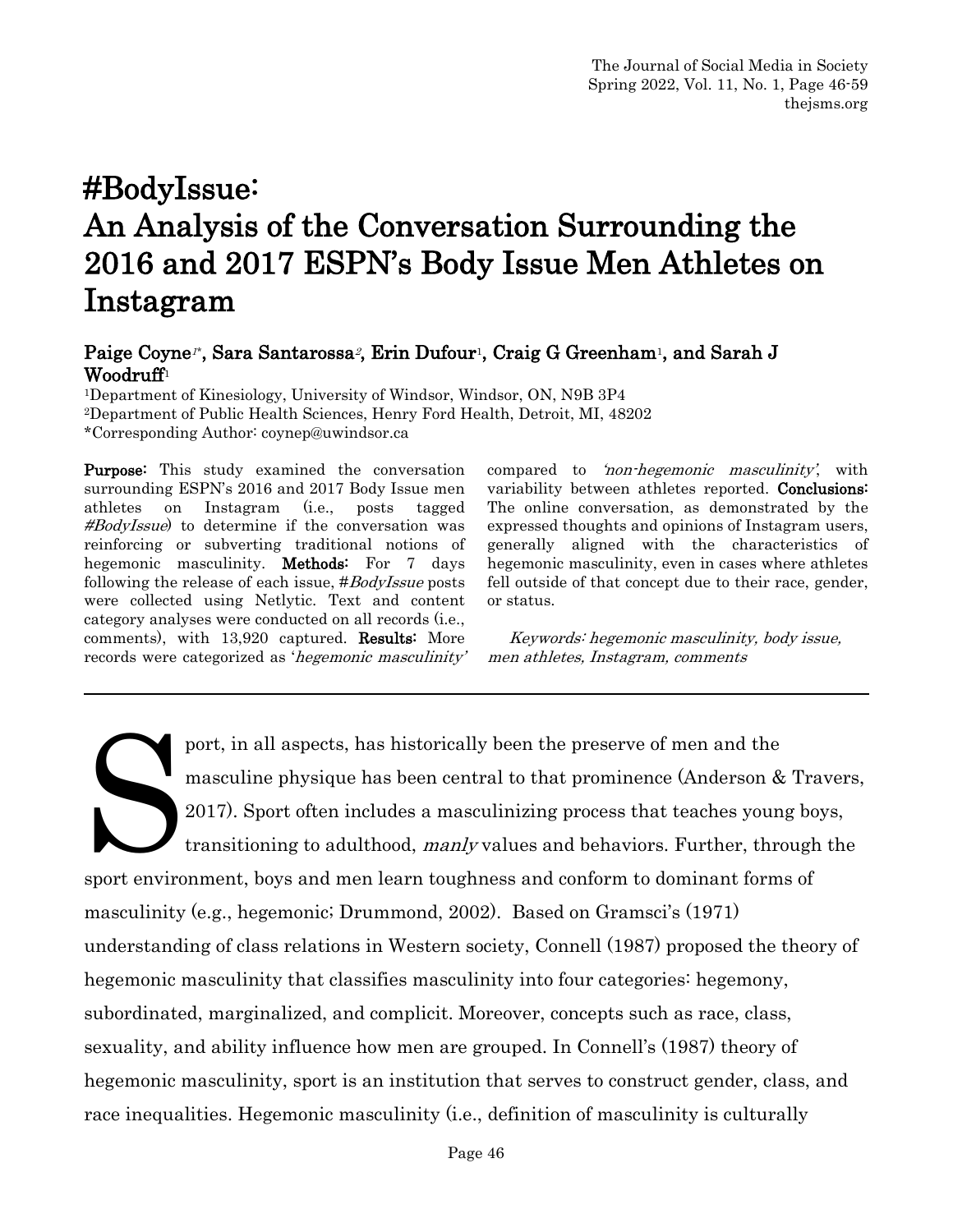# #BodyIssue: An Analysis of the Conversation Surrounding the 2016 and 2017 ESPN's Body Issue Men Athletes on Instagram

# Paige Coyne<sup>r</sup>, Sara Santarossa<sup>2</sup>, Erin Dufour<sup>1</sup>, Craig G Greenham<sup>1</sup>, and Sarah J Woodruff<sup>1</sup><br><sup>1</sup>Department of Kinesiology, University of Windsor, Windsor, ON, N9B 3P4

2Department of Public Health Sciences, Henry Ford Health, Detroit, MI, 48202 \*Corresponding Author: coynep@uwindsor.ca

Purpose: This study examined the conversation surrounding ESPN's 2016 and 2017 Body Issue men athletes on Instagram (i.e., posts tagged #BodyIssue) to determine if the conversation was reinforcing or subverting traditional notions of hegemonic masculinity. Methods: For 7 days following the release of each issue, #BodyIssue posts were collected using Netlytic. Text and content category analyses were conducted on all records (i.e., comments), with 13,920 captured. Results: More records were categorized as 'hegemonic masculinity' compared to 'non-hegemonic masculinity', with variability between athletes reported. Conclusions: The online conversation, as demonstrated by the expressed thoughts and opinions of Instagram users, generally aligned with the characteristics of hegemonic masculinity, even in cases where athletes fell outside of that concept due to their race, gender, or status.

 Keywords: hegemonic masculinity, body issue, men athletes, Instagram, comments

port, in all aspects, has historically been the preserve of men and the masculine physique has been central to that prominence (Anderson & Travers, 2017). Sport often includes a masculinizing process that teaches young boys, transitioning to adulthood, manly values and behaviors. Further, through the sport environment, boys and men learn toughness and conform to dominant forms of masculinity (e.g., hegemonic; Drummond, 2002). Based on Gramsci's (1971) understanding of class relations in Western society, Connell (1987) proposed the theory of hegemonic masculinity that classifies masculinity into four categories: hegemony, subordinated, marginalized, and complicit. Moreover, concepts such as race, class, sexuality, and ability influence how men are grouped. In Connell's (1987) theory of hegemonic masculinity, sport is an institution that serves to construct gender, class, and race inequalities. Hegemonic masculinity (i.e., definition of masculinity is culturally Soort environ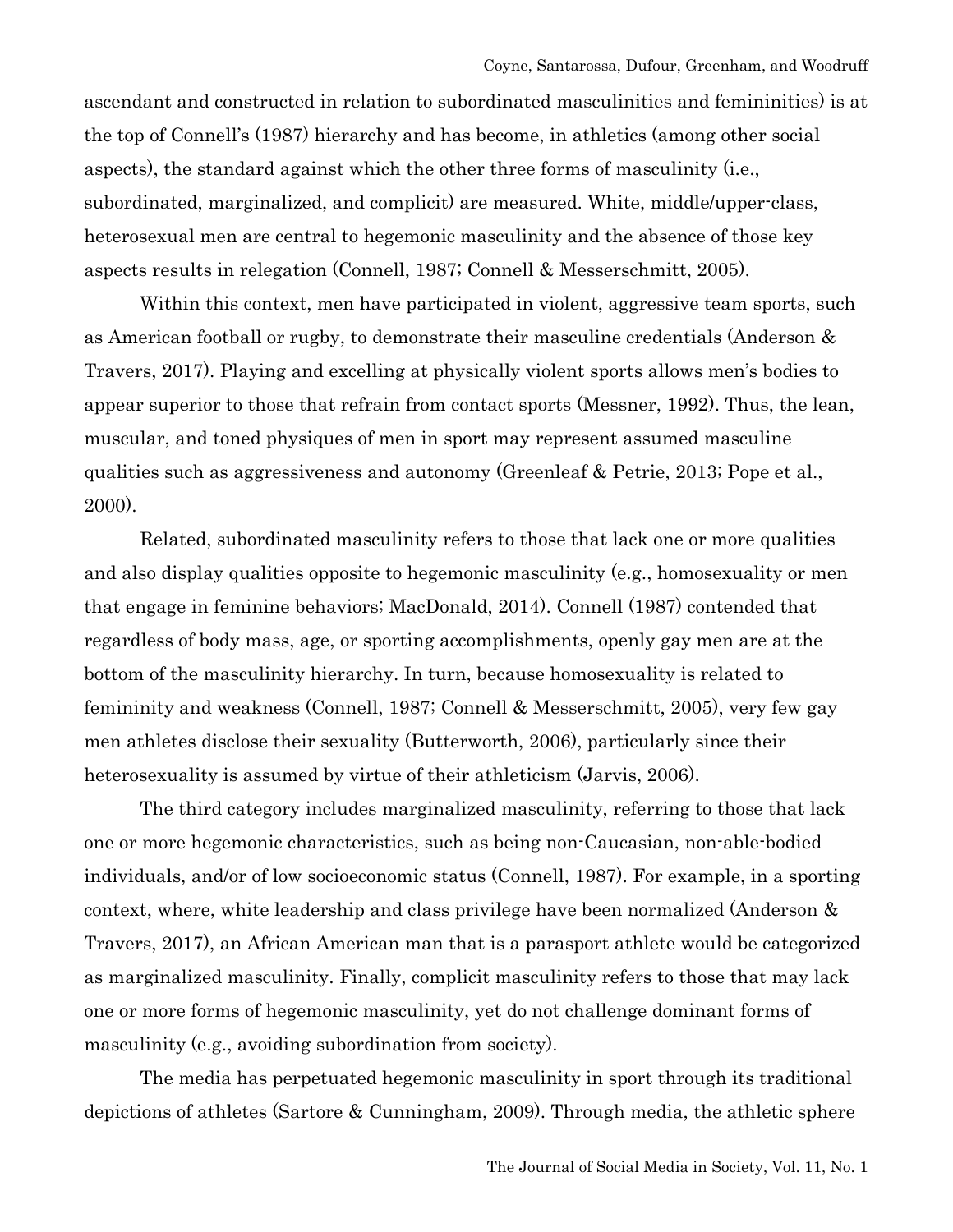ascendant and constructed in relation to subordinated masculinities and femininities) is at the top of Connell's (1987) hierarchy and has become, in athletics (among other social aspects), the standard against which the other three forms of masculinity (i.e., subordinated, marginalized, and complicit) are measured. White, middle/upper-class, heterosexual men are central to hegemonic masculinity and the absence of those key aspects results in relegation (Connell, 1987; Connell & Messerschmitt, 2005).

Within this context, men have participated in violent, aggressive team sports, such as American football or rugby, to demonstrate their masculine credentials (Anderson & Travers, 2017). Playing and excelling at physically violent sports allows men's bodies to appear superior to those that refrain from contact sports (Messner, 1992). Thus, the lean, muscular, and toned physiques of men in sport may represent assumed masculine qualities such as aggressiveness and autonomy (Greenleaf & Petrie, 2013; Pope et al., 2000).

Related, subordinated masculinity refers to those that lack one or more qualities and also display qualities opposite to hegemonic masculinity (e.g., homosexuality or men that engage in feminine behaviors; MacDonald, 2014). Connell (1987) contended that regardless of body mass, age, or sporting accomplishments, openly gay men are at the bottom of the masculinity hierarchy. In turn, because homosexuality is related to femininity and weakness (Connell, 1987; Connell & Messerschmitt, 2005), very few gay men athletes disclose their sexuality (Butterworth, 2006), particularly since their heterosexuality is assumed by virtue of their athleticism (Jarvis, 2006).

The third category includes marginalized masculinity, referring to those that lack one or more hegemonic characteristics, such as being non-Caucasian, non-able-bodied individuals, and/or of low socioeconomic status (Connell, 1987). For example, in a sporting context, where, white leadership and class privilege have been normalized (Anderson & Travers, 2017), an African American man that is a parasport athlete would be categorized as marginalized masculinity. Finally, complicit masculinity refers to those that may lack one or more forms of hegemonic masculinity, yet do not challenge dominant forms of masculinity (e.g., avoiding subordination from society).

The media has perpetuated hegemonic masculinity in sport through its traditional depictions of athletes (Sartore & Cunningham, 2009). Through media, the athletic sphere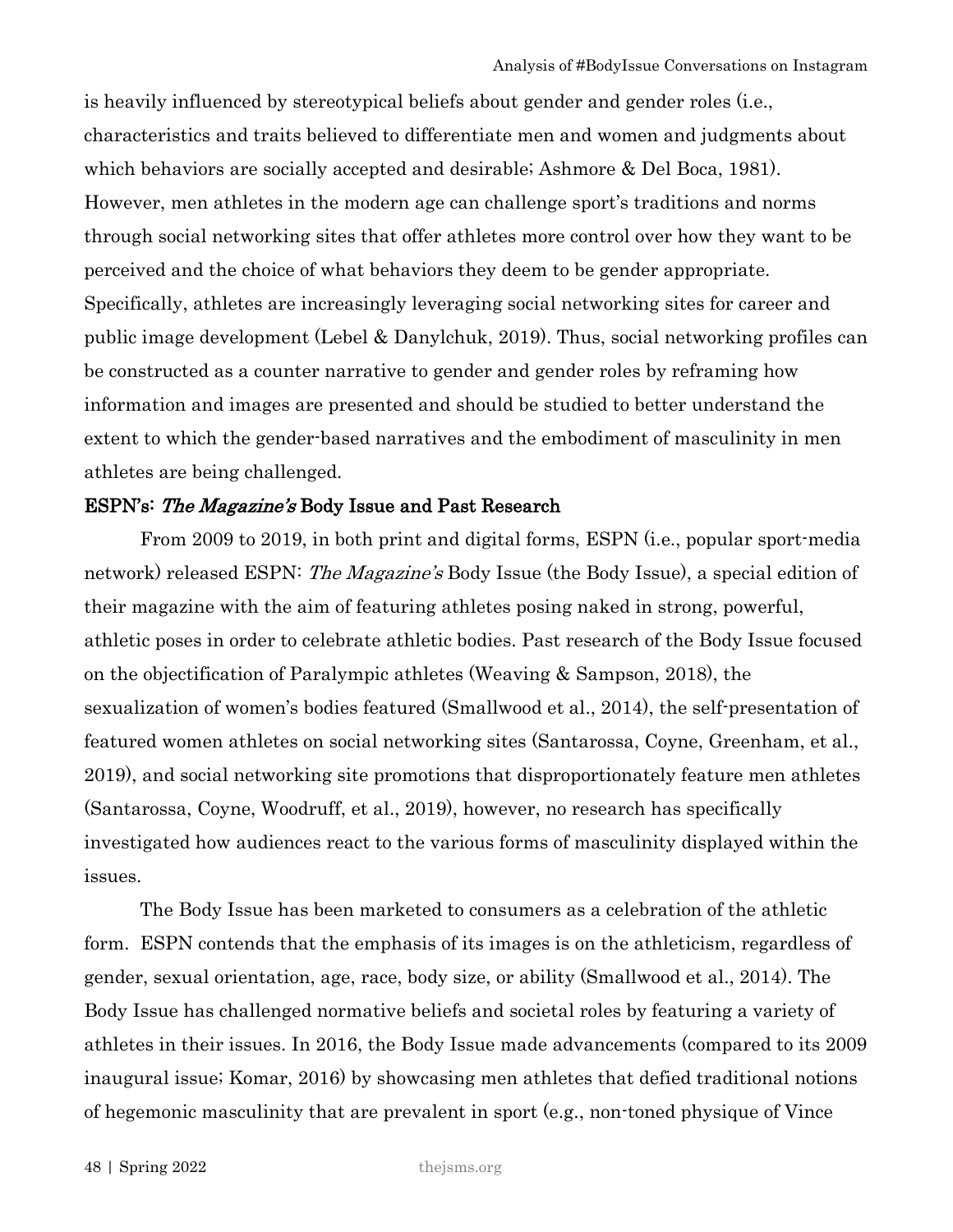is heavily influenced by stereotypical beliefs about gender and gender roles (i.e., characteristics and traits believed to differentiate men and women and judgments about which behaviors are socially accepted and desirable; Ashmore & Del Boca, 1981). However, men athletes in the modern age can challenge sport's traditions and norms through social networking sites that offer athletes more control over how they want to be perceived and the choice of what behaviors they deem to be gender appropriate. Specifically, athletes are increasingly leveraging social networking sites for career and public image development (Lebel & Danylchuk, 2019). Thus, social networking profiles can be constructed as a counter narrative to gender and gender roles by reframing how information and images are presented and should be studied to better understand the extent to which the gender-based narratives and the embodiment of masculinity in men athletes are being challenged.

#### ESPN's: The Magazine's Body Issue and Past Research

From 2009 to 2019, in both print and digital forms, ESPN (i.e., popular sport-media network) released ESPN: The Magazine's Body Issue (the Body Issue), a special edition of their magazine with the aim of featuring athletes posing naked in strong, powerful, athletic poses in order to celebrate athletic bodies. Past research of the Body Issue focused on the objectification of Paralympic athletes (Weaving & Sampson, 2018), the sexualization of women's bodies featured (Smallwood et al., 2014), the self-presentation of featured women athletes on social networking sites (Santarossa, Coyne, Greenham, et al., 2019), and social networking site promotions that disproportionately feature men athletes (Santarossa, Coyne, Woodruff, et al., 2019), however, no research has specifically investigated how audiences react to the various forms of masculinity displayed within the issues.

The Body Issue has been marketed to consumers as a celebration of the athletic form. ESPN contends that the emphasis of its images is on the athleticism, regardless of gender, sexual orientation, age, race, body size, or ability (Smallwood et al., 2014). The Body Issue has challenged normative beliefs and societal roles by featuring a variety of athletes in their issues. In 2016, the Body Issue made advancements (compared to its 2009 inaugural issue; Komar, 2016) by showcasing men athletes that defied traditional notions of hegemonic masculinity that are prevalent in sport (e.g., non-toned physique of Vince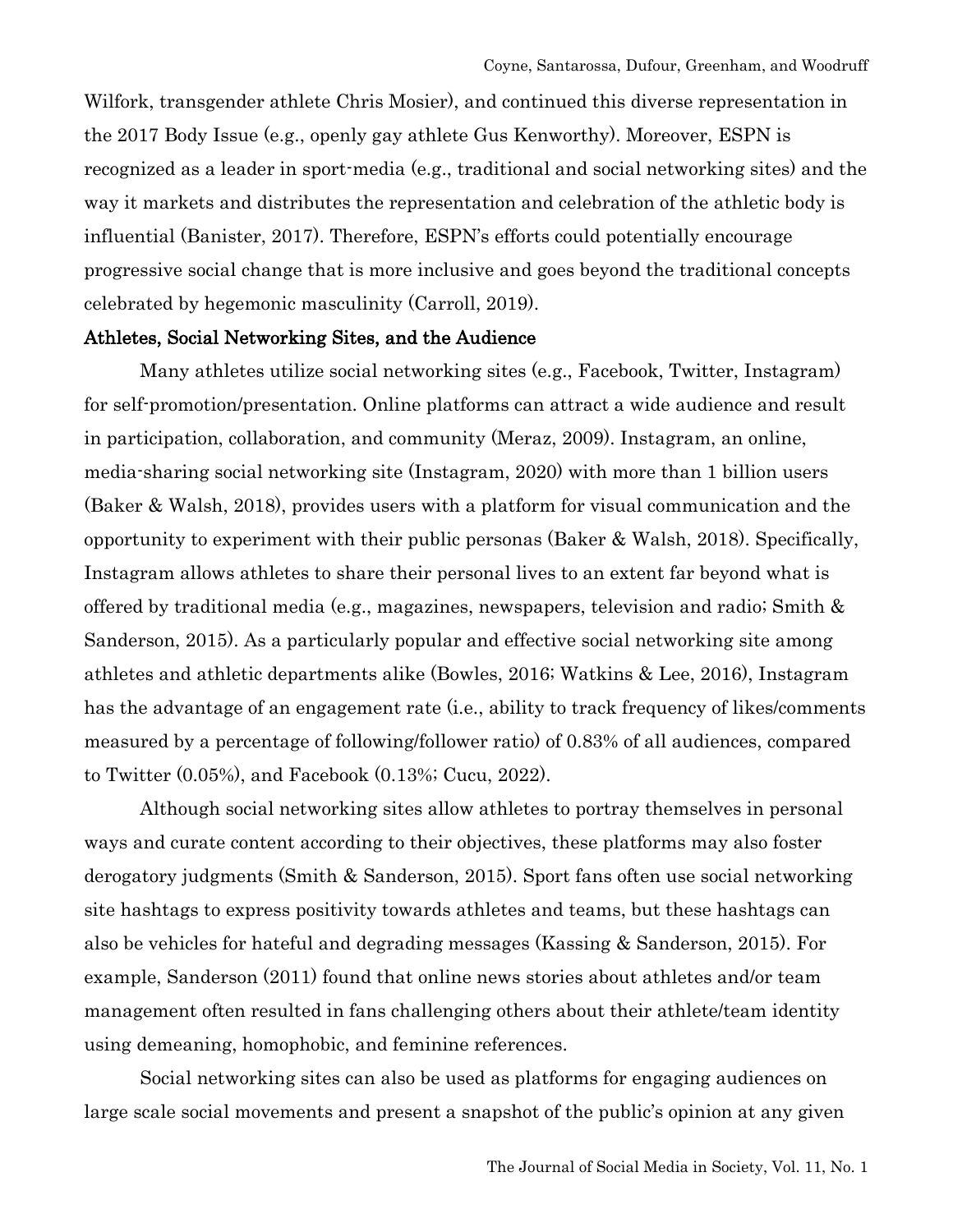Wilfork, transgender athlete Chris Mosier), and continued this diverse representation in the 2017 Body Issue (e.g., openly gay athlete Gus Kenworthy). Moreover, ESPN is recognized as a leader in sport-media (e.g., traditional and social networking sites) and the way it markets and distributes the representation and celebration of the athletic body is influential (Banister, 2017). Therefore, ESPN's efforts could potentially encourage progressive social change that is more inclusive and goes beyond the traditional concepts celebrated by hegemonic masculinity (Carroll, 2019).

#### Athletes, Social Networking Sites, and the Audience

Many athletes utilize social networking sites (e.g., Facebook, Twitter, Instagram) for self-promotion/presentation. Online platforms can attract a wide audience and result in participation, collaboration, and community (Meraz, 2009). Instagram, an online, media-sharing social networking site (Instagram, 2020) with more than 1 billion users (Baker & Walsh, 2018), provides users with a platform for visual communication and the opportunity to experiment with their public personas (Baker & Walsh, 2018). Specifically, Instagram allows athletes to share their personal lives to an extent far beyond what is offered by traditional media (e.g., magazines, newspapers, television and radio; Smith & Sanderson, 2015). As a particularly popular and effective social networking site among athletes and athletic departments alike (Bowles, 2016; Watkins & Lee, 2016), Instagram has the advantage of an engagement rate (i.e., ability to track frequency of likes/comments measured by a percentage of following/follower ratio) of 0.83% of all audiences, compared to Twitter (0.05%), and Facebook (0.13%; Cucu, 2022).

Although social networking sites allow athletes to portray themselves in personal ways and curate content according to their objectives, these platforms may also foster derogatory judgments (Smith & Sanderson, 2015). Sport fans often use social networking site hashtags to express positivity towards athletes and teams, but these hashtags can also be vehicles for hateful and degrading messages (Kassing & Sanderson, 2015). For example, Sanderson (2011) found that online news stories about athletes and/or team management often resulted in fans challenging others about their athlete/team identity using demeaning, homophobic, and feminine references.

Social networking sites can also be used as platforms for engaging audiences on large scale social movements and present a snapshot of the public's opinion at any given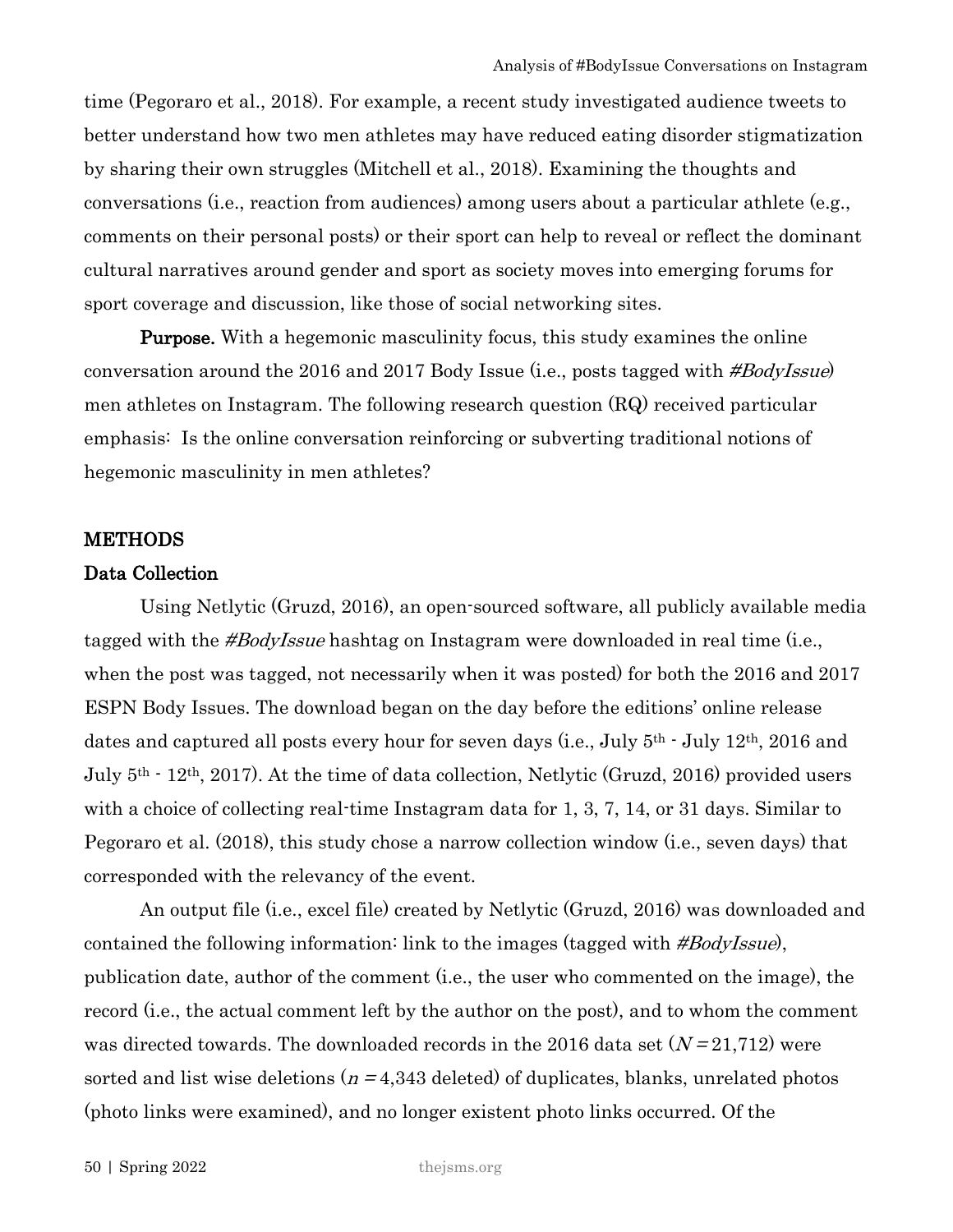time (Pegoraro et al., 2018). For example, a recent study investigated audience tweets to better understand how two men athletes may have reduced eating disorder stigmatization by sharing their own struggles (Mitchell et al., 2018). Examining the thoughts and conversations (i.e., reaction from audiences) among users about a particular athlete (e.g., comments on their personal posts) or their sport can help to reveal or reflect the dominant cultural narratives around gender and sport as society moves into emerging forums for sport coverage and discussion, like those of social networking sites.

**Purpose.** With a hegemonic masculinity focus, this study examines the online conversation around the 2016 and 2017 Body Issue (i.e., posts tagged with #BodyIssue) men athletes on Instagram. The following research question (RQ) received particular emphasis: Is the online conversation reinforcing or subverting traditional notions of hegemonic masculinity in men athletes?

#### **METHODS**

# Data Collection

Using Netlytic (Gruzd, 2016), an open-sourced software, all publicly available media tagged with the #BodyIssue hashtag on Instagram were downloaded in real time (i.e., when the post was tagged, not necessarily when it was posted) for both the 2016 and 2017 ESPN Body Issues. The download began on the day before the editions' online release dates and captured all posts every hour for seven days (i.e., July 5th - July 12th, 2016 and July 5th - 12th, 2017). At the time of data collection, Netlytic (Gruzd, 2016) provided users with a choice of collecting real-time Instagram data for 1, 3, 7, 14, or 31 days. Similar to Pegoraro et al. (2018), this study chose a narrow collection window (i.e., seven days) that corresponded with the relevancy of the event.

An output file (i.e., excel file) created by Netlytic (Gruzd, 2016) was downloaded and contained the following information: link to the images (tagged with #BodyIssue), publication date, author of the comment (i.e., the user who commented on the image), the record (i.e., the actual comment left by the author on the post), and to whom the comment was directed towards. The downloaded records in the 2016 data set  $(N=21,712)$  were sorted and list wise deletions  $(n = 4,343$  deleted) of duplicates, blanks, unrelated photos (photo links were examined), and no longer existent photo links occurred. Of the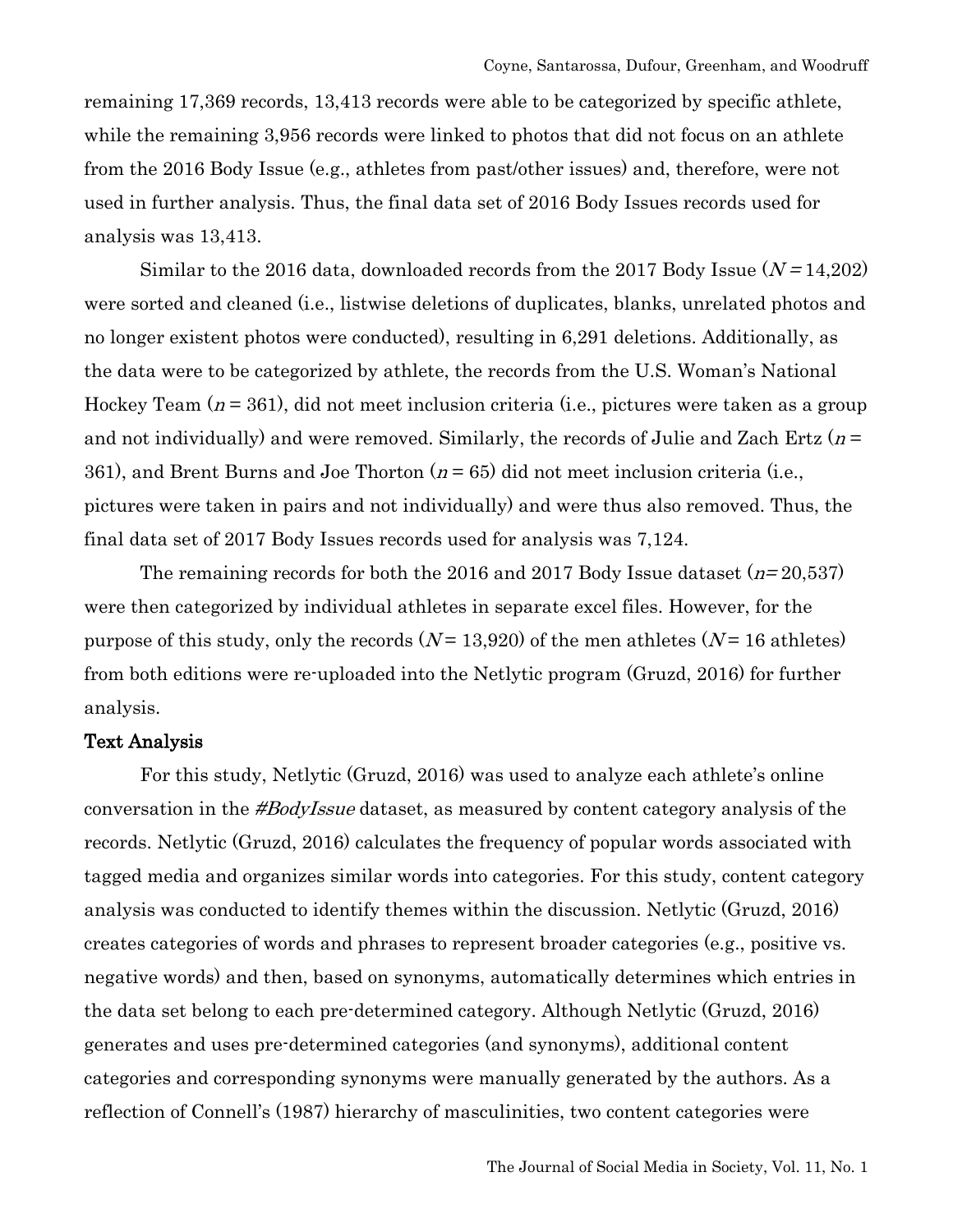remaining 17,369 records, 13,413 records were able to be categorized by specific athlete, while the remaining 3,956 records were linked to photos that did not focus on an athlete from the 2016 Body Issue (e.g., athletes from past/other issues) and, therefore, were not used in further analysis. Thus, the final data set of 2016 Body Issues records used for analysis was 13,413.

Similar to the 2016 data, downloaded records from the 2017 Body Issue  $(N=14,202)$ were sorted and cleaned (i.e., listwise deletions of duplicates, blanks, unrelated photos and no longer existent photos were conducted), resulting in 6,291 deletions. Additionally, as the data were to be categorized by athlete, the records from the U.S. Woman's National Hockey Team  $(n = 361)$ , did not meet inclusion criteria (i.e., pictures were taken as a group and not individually) and were removed. Similarly, the records of Julie and Zach Ertz ( $n =$ 361), and Brent Burns and Joe Thorton  $(n = 65)$  did not meet inclusion criteria (i.e., pictures were taken in pairs and not individually) and were thus also removed. Thus, the final data set of 2017 Body Issues records used for analysis was 7,124.

The remaining records for both the 2016 and 2017 Body Issue dataset  $(n=20,537)$ were then categorized by individual athletes in separate excel files. However, for the purpose of this study, only the records  $(N=13,920)$  of the men athletes  $(N=16$  athletes) from both editions were re-uploaded into the Netlytic program (Gruzd, 2016) for further analysis.

# Text Analysis

For this study, Netlytic (Gruzd, 2016) was used to analyze each athlete's online conversation in the #BodyIssue dataset, as measured by content category analysis of the records. Netlytic (Gruzd, 2016) calculates the frequency of popular words associated with tagged media and organizes similar words into categories. For this study, content category analysis was conducted to identify themes within the discussion. Netlytic (Gruzd, 2016) creates categories of words and phrases to represent broader categories (e.g., positive vs. negative words) and then, based on synonyms, automatically determines which entries in the data set belong to each pre-determined category. Although Netlytic (Gruzd, 2016) generates and uses pre-determined categories (and synonyms), additional content categories and corresponding synonyms were manually generated by the authors. As a reflection of Connell's (1987) hierarchy of masculinities, two content categories were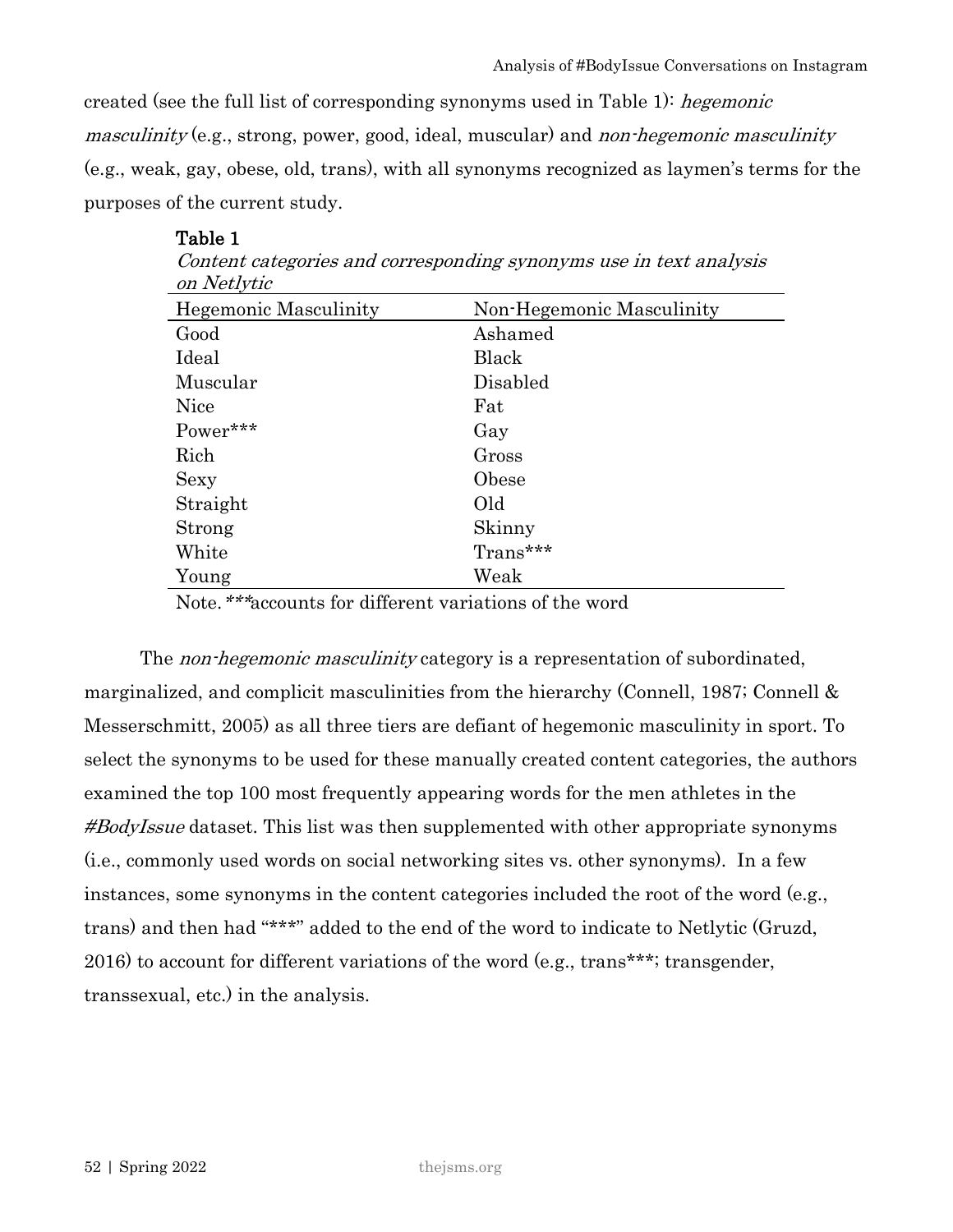created (see the full list of corresponding synonyms used in Table 1): hegemonic masculinity (e.g., strong, power, good, ideal, muscular) and non-hegemonic masculinity (e.g., weak, gay, obese, old, trans), with all synonyms recognized as laymen's terms for the purposes of the current study.

| on Netlytic                  |                           |
|------------------------------|---------------------------|
| <b>Hegemonic Masculinity</b> | Non-Hegemonic Masculinity |
| Good                         | Ashamed                   |
| Ideal                        | Black                     |
| Muscular                     | Disabled                  |
| <b>Nice</b>                  | Fat                       |
| Power***                     | Gay                       |
| Rich                         | Gross                     |
| Sexy                         | Obese                     |
| Straight                     | Old                       |
| Strong                       | Skinny                    |
| White                        | Trans***                  |
| Young                        | Weak                      |

Table 1 Content categories and corresponding synonyms use in text analysis

Note.\*\*\*accounts for different variations of the word

The *non-hegemonic masculinity* category is a representation of subordinated, marginalized, and complicit masculinities from the hierarchy (Connell, 1987; Connell  $\&$ Messerschmitt, 2005) as all three tiers are defiant of hegemonic masculinity in sport. To select the synonyms to be used for these manually created content categories, the authors examined the top 100 most frequently appearing words for the men athletes in the #BodyIssue dataset. This list was then supplemented with other appropriate synonyms (i.e., commonly used words on social networking sites vs. other synonyms). In a few instances, some synonyms in the content categories included the root of the word (e.g., trans) and then had "\*\*\*" added to the end of the word to indicate to Netlytic (Gruzd, 2016) to account for different variations of the word (e.g., trans\*\*\*; transgender, transsexual, etc.) in the analysis.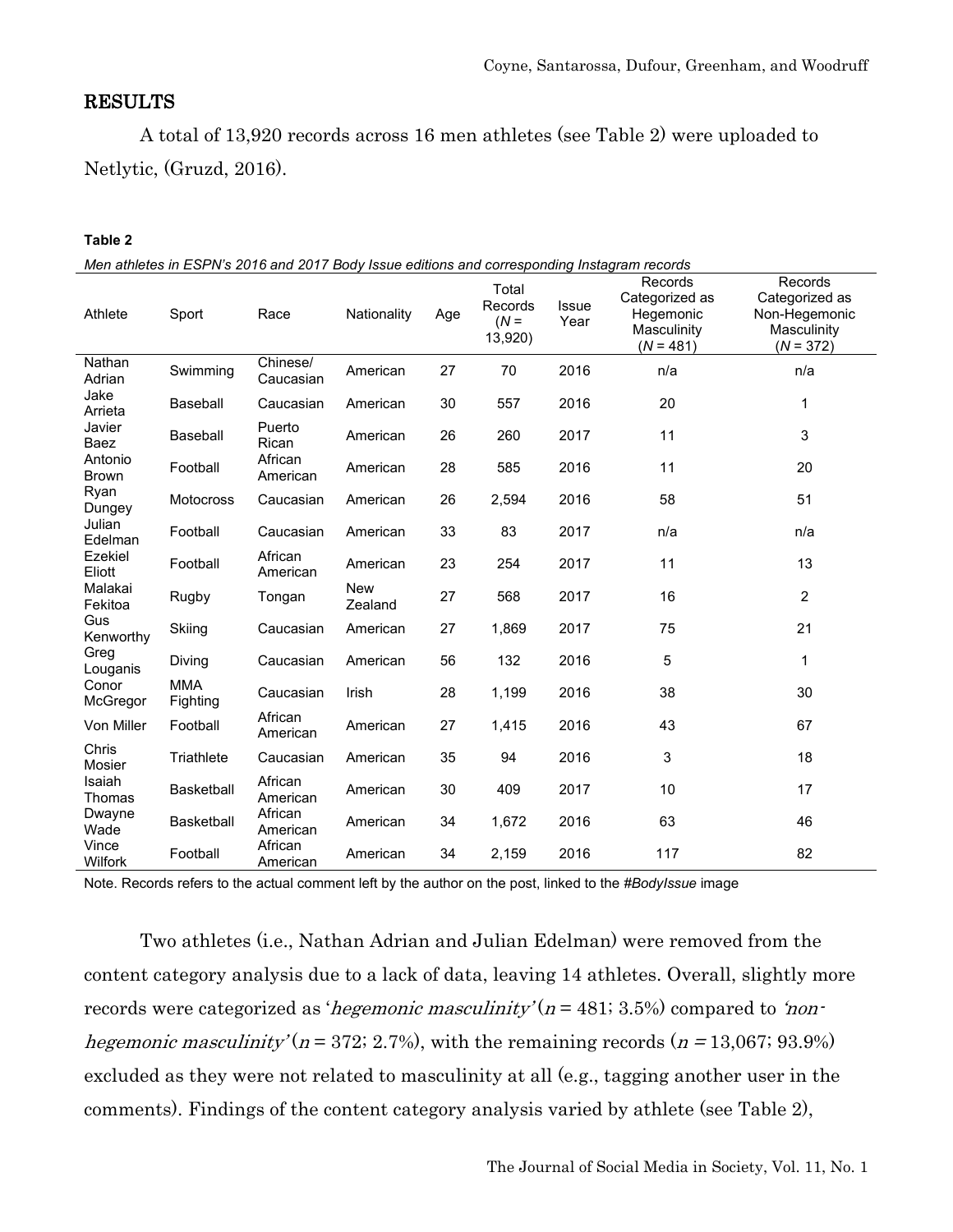# RESULTS

A total of 13,920 records across 16 men athletes (see Table 2) were uploaded to Netlytic, (Gruzd, 2016).

#### **Table 2**

| Athlete                 | Sport                  | Race                  | Nationality           | Age | Total<br>Records<br>$(N =$<br>13,920) | <b>Issue</b><br>Year | Records<br>Categorized as<br>Hegemonic<br>Masculinity<br>$(N = 481)$ | Records<br>Categorized as<br>Non-Hegemonic<br>Masculinity<br>$(N = 372)$ |
|-------------------------|------------------------|-----------------------|-----------------------|-----|---------------------------------------|----------------------|----------------------------------------------------------------------|--------------------------------------------------------------------------|
| Nathan<br>Adrian        | Swimming               | Chinese/<br>Caucasian | American              | 27  | 70                                    | 2016                 | n/a                                                                  | n/a                                                                      |
| Jake<br>Arrieta         | Baseball               | Caucasian             | American              | 30  | 557                                   | 2016                 | 20                                                                   | 1                                                                        |
| Javier<br>Baez          | Baseball               | Puerto<br>Rican       | American              | 26  | 260                                   | 2017                 | 11                                                                   | 3                                                                        |
| Antonio<br><b>Brown</b> | Football               | African<br>American   | American              | 28  | 585                                   | 2016                 | 11                                                                   | 20                                                                       |
| Ryan<br>Dungey          | Motocross              | Caucasian             | American              | 26  | 2,594                                 | 2016                 | 58                                                                   | 51                                                                       |
| Julian<br>Edelman       | Football               | Caucasian             | American              | 33  | 83                                    | 2017                 | n/a                                                                  | n/a                                                                      |
| Ezekiel<br>Eliott       | Football               | African<br>American   | American              | 23  | 254                                   | 2017                 | 11                                                                   | 13                                                                       |
| Malakai<br>Fekitoa      | Rugby                  | Tongan                | <b>New</b><br>Zealand | 27  | 568                                   | 2017                 | 16                                                                   | $\overline{c}$                                                           |
| Gus<br>Kenworthy        | Skiing                 | Caucasian             | American              | 27  | 1,869                                 | 2017                 | 75                                                                   | 21                                                                       |
| Greg<br>Louganis        | Diving                 | Caucasian             | American              | 56  | 132                                   | 2016                 | 5                                                                    | 1                                                                        |
| Conor<br>McGregor       | <b>MMA</b><br>Fighting | Caucasian             | Irish                 | 28  | 1,199                                 | 2016                 | 38                                                                   | 30                                                                       |
| Von Miller              | Football               | African<br>American   | American              | 27  | 1,415                                 | 2016                 | 43                                                                   | 67                                                                       |
| Chris<br>Mosier         | Triathlete             | Caucasian             | American              | 35  | 94                                    | 2016                 | 3                                                                    | 18                                                                       |
| Isaiah<br>Thomas        | <b>Basketball</b>      | African<br>American   | American              | 30  | 409                                   | 2017                 | 10                                                                   | 17                                                                       |
| Dwayne<br>Wade          | <b>Basketball</b>      | African<br>American   | American              | 34  | 1,672                                 | 2016                 | 63                                                                   | 46                                                                       |
| Vince<br>Wilfork        | Football               | African<br>American   | American              | 34  | 2,159                                 | 2016                 | 117                                                                  | 82                                                                       |

Note. Records refers to the actual comment left by the author on the post, linked to the *#BodyIssue* image

Two athletes (i.e., Nathan Adrian and Julian Edelman) were removed from the content category analysis due to a lack of data, leaving 14 athletes. Overall, slightly more records were categorized as '*hegemonic masculinity'* ( $n = 481$ ; 3.5%) compared to '*non*hegemonic masculinity' ( $n = 372$ ; 2.7%), with the remaining records ( $n = 13,067$ ; 93.9%) excluded as they were not related to masculinity at all (e.g., tagging another user in the comments). Findings of the content category analysis varied by athlete (see Table 2),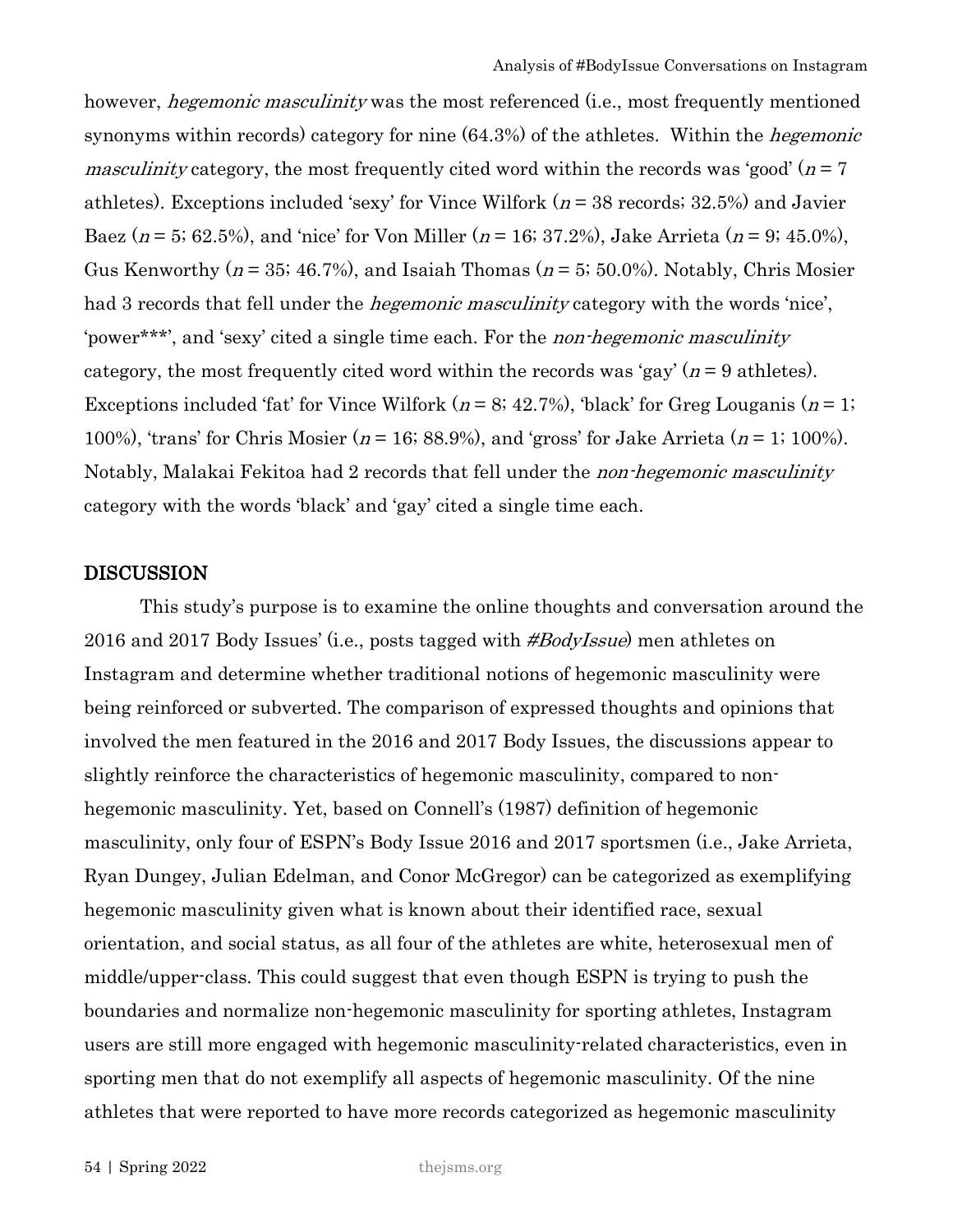however, *hegemonic masculinity* was the most referenced (i.e., most frequently mentioned synonyms within records) category for nine  $(64.3%)$  of the athletes. Within the *hegemonic masculinity* category, the most frequently cited word within the records was 'good' ( $n = 7$ ) athletes). Exceptions included 'sexy' for Vince Wilfork ( $n = 38$  records; 32.5%) and Javier Baez ( $n = 5$ ; 62.5%), and 'nice' for Von Miller ( $n = 16$ ; 37.2%), Jake Arrieta ( $n = 9$ ; 45.0%), Gus Kenworthy ( $n = 35$ ; 46.7%), and Isaiah Thomas ( $n = 5$ ; 50.0%). Notably, Chris Mosier had 3 records that fell under the *hegemonic masculinity* category with the words 'nice', 'power\*\*\*', and 'sexy' cited a single time each. For the non-hegemonic masculinity category, the most frequently cited word within the records was 'gay' ( $n = 9$  athletes). Exceptions included 'fat' for Vince Wilfork ( $n = 8$ ; 42.7%), 'black' for Greg Louganis ( $n = 1$ ; 100%), 'trans' for Chris Mosier ( $n = 16$ ; 88.9%), and 'gross' for Jake Arrieta ( $n = 1$ ; 100%). Notably, Malakai Fekitoa had 2 records that fell under the non-hegemonic masculinity category with the words 'black' and 'gay' cited a single time each.

#### DISCUSSION

This study's purpose is to examine the online thoughts and conversation around the 2016 and 2017 Body Issues' (i.e., posts tagged with #BodyIssue) men athletes on Instagram and determine whether traditional notions of hegemonic masculinity were being reinforced or subverted. The comparison of expressed thoughts and opinions that involved the men featured in the 2016 and 2017 Body Issues, the discussions appear to slightly reinforce the characteristics of hegemonic masculinity, compared to nonhegemonic masculinity. Yet, based on Connell's (1987) definition of hegemonic masculinity, only four of ESPN's Body Issue 2016 and 2017 sportsmen (i.e., Jake Arrieta, Ryan Dungey, Julian Edelman, and Conor McGregor) can be categorized as exemplifying hegemonic masculinity given what is known about their identified race, sexual orientation, and social status, as all four of the athletes are white, heterosexual men of middle/upper-class. This could suggest that even though ESPN is trying to push the boundaries and normalize non-hegemonic masculinity for sporting athletes, Instagram users are still more engaged with hegemonic masculinity-related characteristics, even in sporting men that do not exemplify all aspects of hegemonic masculinity. Of the nine athletes that were reported to have more records categorized as hegemonic masculinity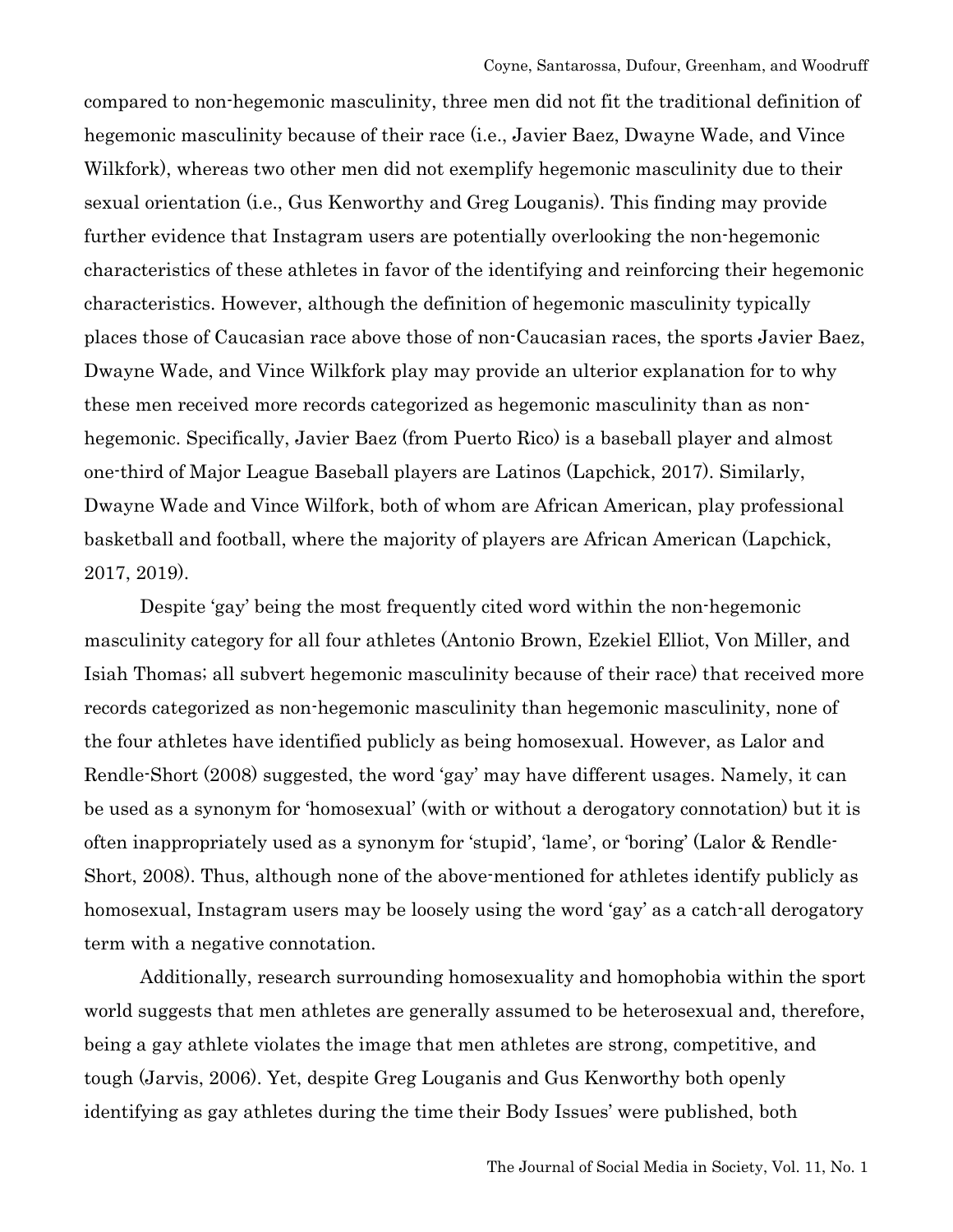compared to non-hegemonic masculinity, three men did not fit the traditional definition of hegemonic masculinity because of their race (i.e., Javier Baez, Dwayne Wade, and Vince Wilkfork), whereas two other men did not exemplify hegemonic masculinity due to their sexual orientation (i.e., Gus Kenworthy and Greg Louganis). This finding may provide further evidence that Instagram users are potentially overlooking the non-hegemonic characteristics of these athletes in favor of the identifying and reinforcing their hegemonic characteristics. However, although the definition of hegemonic masculinity typically places those of Caucasian race above those of non-Caucasian races, the sports Javier Baez, Dwayne Wade, and Vince Wilkfork play may provide an ulterior explanation for to why these men received more records categorized as hegemonic masculinity than as nonhegemonic. Specifically, Javier Baez (from Puerto Rico) is a baseball player and almost one-third of Major League Baseball players are Latinos (Lapchick, 2017). Similarly, Dwayne Wade and Vince Wilfork, both of whom are African American, play professional basketball and football, where the majority of players are African American (Lapchick, 2017, 2019).

Despite 'gay' being the most frequently cited word within the non-hegemonic masculinity category for all four athletes (Antonio Brown, Ezekiel Elliot, Von Miller, and Isiah Thomas; all subvert hegemonic masculinity because of their race) that received more records categorized as non-hegemonic masculinity than hegemonic masculinity, none of the four athletes have identified publicly as being homosexual. However, as Lalor and Rendle-Short (2008) suggested, the word 'gay' may have different usages. Namely, it can be used as a synonym for 'homosexual' (with or without a derogatory connotation) but it is often inappropriately used as a synonym for 'stupid', 'lame', or 'boring' (Lalor & Rendle-Short, 2008). Thus, although none of the above-mentioned for athletes identify publicly as homosexual, Instagram users may be loosely using the word 'gay' as a catch-all derogatory term with a negative connotation.

Additionally, research surrounding homosexuality and homophobia within the sport world suggests that men athletes are generally assumed to be heterosexual and, therefore, being a gay athlete violates the image that men athletes are strong, competitive, and tough (Jarvis, 2006). Yet, despite Greg Louganis and Gus Kenworthy both openly identifying as gay athletes during the time their Body Issues' were published, both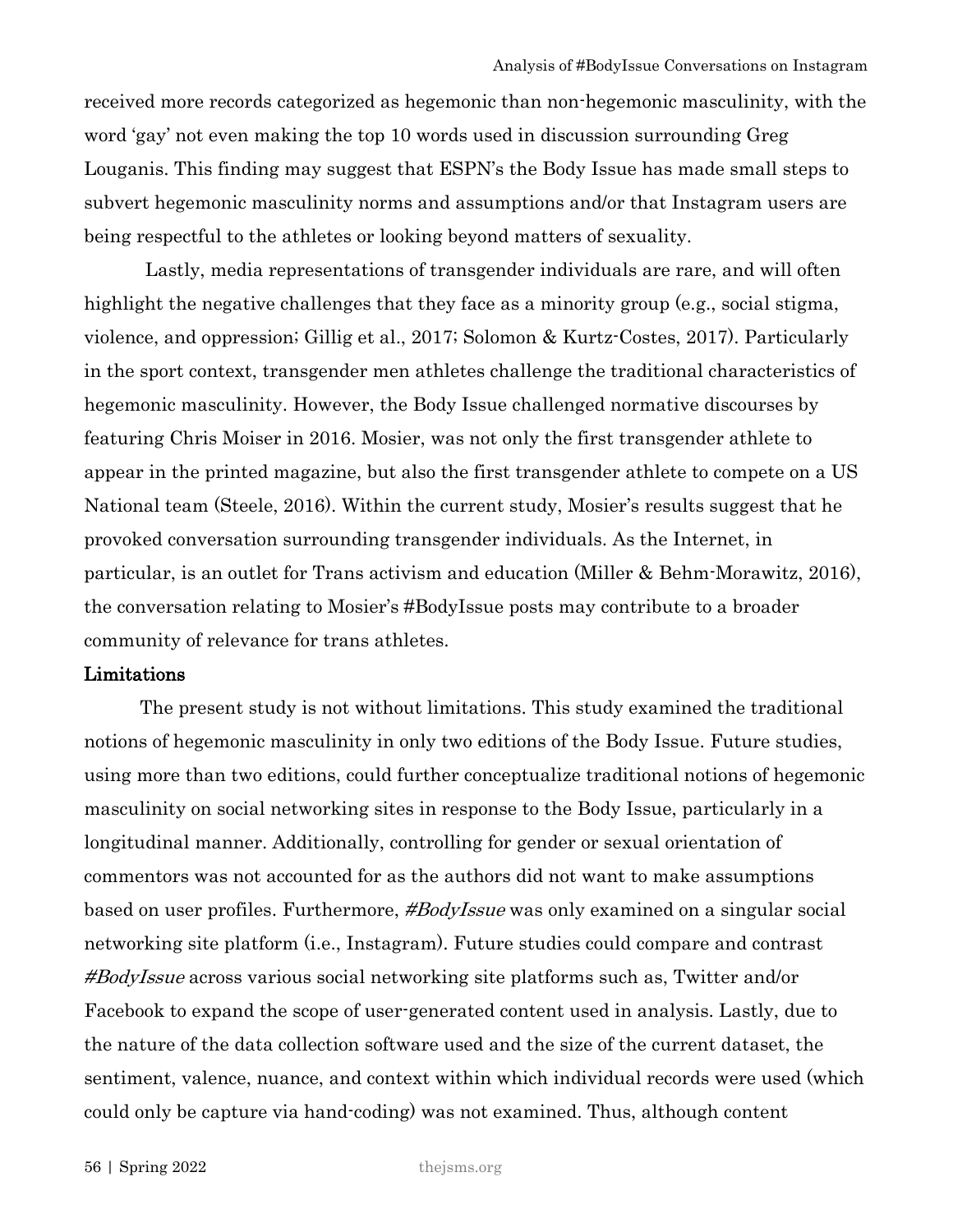received more records categorized as hegemonic than non-hegemonic masculinity, with the word 'gay' not even making the top 10 words used in discussion surrounding Greg Louganis. This finding may suggest that ESPN's the Body Issue has made small steps to subvert hegemonic masculinity norms and assumptions and/or that Instagram users are being respectful to the athletes or looking beyond matters of sexuality.

Lastly, media representations of transgender individuals are rare, and will often highlight the negative challenges that they face as a minority group (e.g., social stigma, violence, and oppression; Gillig et al., 2017; Solomon & Kurtz-Costes, 2017). Particularly in the sport context, transgender men athletes challenge the traditional characteristics of hegemonic masculinity. However, the Body Issue challenged normative discourses by featuring Chris Moiser in 2016. Mosier, was not only the first transgender athlete to appear in the printed magazine, but also the first transgender athlete to compete on a US National team (Steele, 2016). Within the current study, Mosier's results suggest that he provoked conversation surrounding transgender individuals. As the Internet, in particular, is an outlet for Trans activism and education (Miller & Behm-Morawitz, 2016), the conversation relating to Mosier's #BodyIssue posts may contribute to a broader community of relevance for trans athletes.

#### Limitations

The present study is not without limitations. This study examined the traditional notions of hegemonic masculinity in only two editions of the Body Issue. Future studies, using more than two editions, could further conceptualize traditional notions of hegemonic masculinity on social networking sites in response to the Body Issue, particularly in a longitudinal manner. Additionally, controlling for gender or sexual orientation of commentors was not accounted for as the authors did not want to make assumptions based on user profiles. Furthermore, *#BodyIssue* was only examined on a singular social networking site platform (i.e., Instagram). Future studies could compare and contrast #BodyIssue across various social networking site platforms such as, Twitter and/or Facebook to expand the scope of user-generated content used in analysis. Lastly, due to the nature of the data collection software used and the size of the current dataset, the sentiment, valence, nuance, and context within which individual records were used (which could only be capture via hand-coding) was not examined. Thus, although content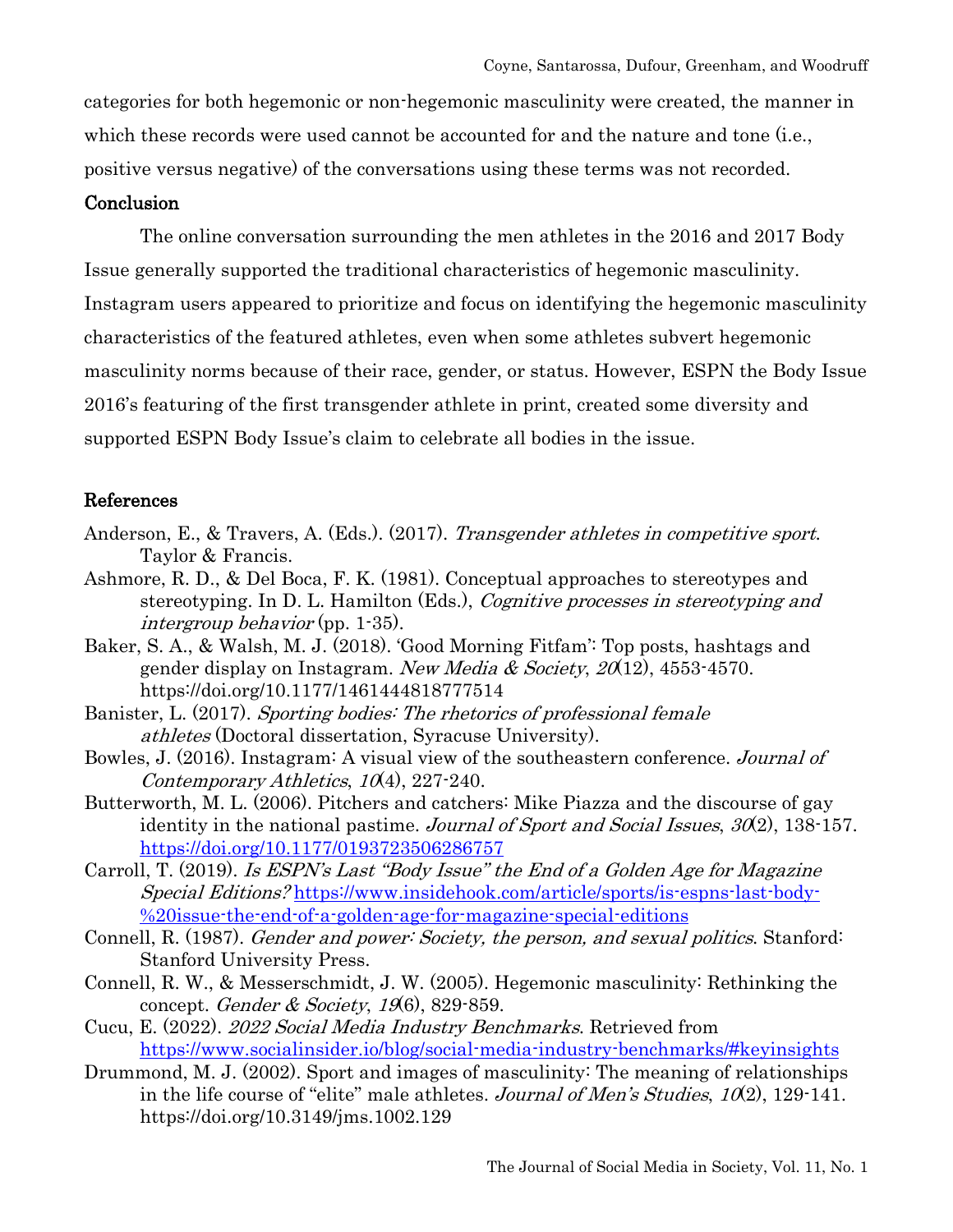categories for both hegemonic or non-hegemonic masculinity were created, the manner in which these records were used cannot be accounted for and the nature and tone (i.e., positive versus negative) of the conversations using these terms was not recorded.

# **Conclusion**

The online conversation surrounding the men athletes in the 2016 and 2017 Body Issue generally supported the traditional characteristics of hegemonic masculinity. Instagram users appeared to prioritize and focus on identifying the hegemonic masculinity characteristics of the featured athletes, even when some athletes subvert hegemonic masculinity norms because of their race, gender, or status. However, ESPN the Body Issue 2016's featuring of the first transgender athlete in print, created some diversity and supported ESPN Body Issue's claim to celebrate all bodies in the issue.

# References

- Anderson, E., & Travers, A. (Eds.). (2017). Transgender athletes in competitive sport. Taylor & Francis.
- Ashmore, R. D., & Del Boca, F. K. (1981). Conceptual approaches to stereotypes and stereotyping. In D. L. Hamilton (Eds.), Cognitive processes in stereotyping and intergroup behavior (pp. 1-35).
- Baker, S. A., & Walsh, M. J. (2018). 'Good Morning Fitfam': Top posts, hashtags and gender display on Instagram. New Media & Society,  $20(12)$ , 4553-4570. https://doi.org/10.1177/1461444818777514
- Banister, L. (2017). Sporting bodies: The rhetorics of professional female athletes (Doctoral dissertation, Syracuse University).
- Bowles, J. (2016). Instagram: A visual view of the southeastern conference. Journal of Contemporary Athletics, 10(4), 227-240.
- Butterworth, M. L. (2006). Pitchers and catchers: Mike Piazza and the discourse of gay identity in the national pastime. Journal of Sport and Social Issues, 30(2), 138-157. <https://doi.org/10.1177/0193723506286757>
- Carroll, T. (2019). Is ESPN's Last "Body Issue" the End of a Golden Age for Magazine Special Editions? [https://www.insidehook.com/article/sports/is-espns-last-body-](https://www.insidehook.com/article/sports/is-espns-last-body-%20issue-the-end-of-a-golden-age-for-magazine-special-editions) [%20issue-the-end-of-a-golden-age-for-magazine-special-editions](https://www.insidehook.com/article/sports/is-espns-last-body-%20issue-the-end-of-a-golden-age-for-magazine-special-editions)
- Connell, R. (1987). Gender and power: Society, the person, and sexual politics. Stanford: Stanford University Press.
- Connell, R. W., & Messerschmidt, J. W. (2005). Hegemonic masculinity: Rethinking the concept. Gender & Society,  $19(6)$ , 829-859.
- Cucu, E. (2022). 2022 Social Media Industry Benchmarks. Retrieved from <https://www.socialinsider.io/blog/social-media-industry-benchmarks/#keyinsights>
- Drummond, M. J. (2002). Sport and images of masculinity: The meaning of relationships in the life course of "elite" male athletes. Journal of Men's Studies,  $10(2)$ , 129-141. https://doi.org/10.3149/jms.1002.129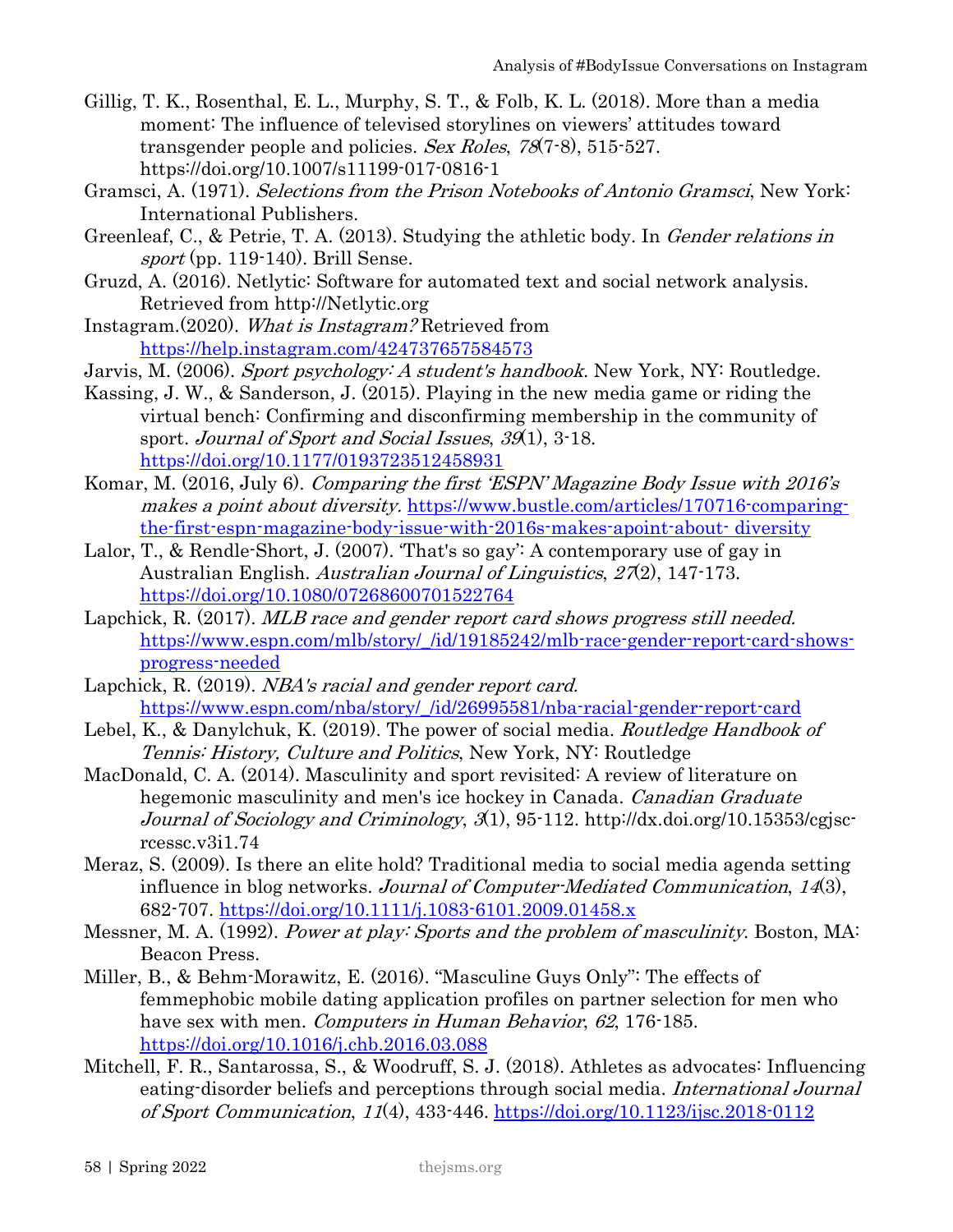- Gillig, T. K., Rosenthal, E. L., Murphy, S. T., & Folb, K. L. (2018). More than a media moment: The influence of televised storylines on viewers' attitudes toward transgender people and policies. Sex Roles, 78(7-8), 515-527. https://doi.org/10.1007/s11199-017-0816-1
- Gramsci, A. (1971). Selections from the Prison Notebooks of Antonio Gramsci, New York: International Publishers.
- Greenleaf, C., & Petrie, T. A. (2013). Studying the athletic body. In Gender relations in sport (pp. 119-140). Brill Sense.
- Gruzd, A. (2016). Netlytic: Software for automated text and social network analysis. Retrieved from http://Netlytic.org
- Instagram.(2020). What is Instagram? Retrieved from <https://help.instagram.com/424737657584573>
- Jarvis, M. (2006). Sport psychology: A student's handbook. New York, NY: Routledge.
- Kassing, J. W., & Sanderson, J. (2015). Playing in the new media game or riding the virtual bench: Confirming and disconfirming membership in the community of sport. Journal of Sport and Social Issues, 39(1), 3-18. [https://doi.org/10.1177/0193723512458931](https://doi.org/10.1177%2F0193723512458931)
- Komar, M. (2016, July 6). Comparing the first 'ESPN' Magazine Body Issue with 2016's makes a point about diversity. [https://www.bustle.com/articles/170716-comparing](https://www.bustle.com/articles/170716-comparing-the-first-espn-magazine-body-issue-with-2016s-makes-apoint-about-%20diversity)[the-first-espn-magazine-body-issue-with-2016s-makes-apoint-about- diversity](https://www.bustle.com/articles/170716-comparing-the-first-espn-magazine-body-issue-with-2016s-makes-apoint-about-%20diversity)
- Lalor, T., & Rendle-Short, J. (2007). That's so gay': A contemporary use of gay in Australian English. *Australian Journal of Linguistics*, 27(2), 147-173. <https://doi.org/10.1080/07268600701522764>
- Lapchick, R. (2017). MLB race and gender report card shows progress still needed. [https://www.espn.com/mlb/story/\\_/id/19185242/mlb-race-gender-report-card-shows](https://www.espn.com/mlb/story/_/id/19185242/mlb-race-gender-report-card-shows-progress-needed)[progress-needed](https://www.espn.com/mlb/story/_/id/19185242/mlb-race-gender-report-card-shows-progress-needed)
- Lapchick, R. (2019). NBA's racial and gender report card. [https://www.espn.com/nba/story/\\_/id/26995581/nba-racial-gender-report-card](https://www.espn.com/nba/story/_/id/26995581/nba-racial-gender-report-card)
- Lebel, K., & Danylchuk, K. (2019). The power of social media. Routledge Handbook of Tennis: History, Culture and Politics, New York, NY: Routledge
- MacDonald, C. A. (2014). Masculinity and sport revisited: A review of literature on hegemonic masculinity and men's ice hockey in Canada. *Canadian Graduate* Journal of Sociology and Criminology, 3(1), 95-112. http://dx.doi.org/10.15353/cgjscrcessc.v3i1.74
- Meraz, S. (2009). Is there an elite hold? Traditional media to social media agenda setting influence in blog networks. Journal of Computer-Mediated Communication, 14(3), 682-707.<https://doi.org/10.1111/j.1083-6101.2009.01458.x>
- Messner, M. A. (1992). Power at play: Sports and the problem of masculinity. Boston, MA: Beacon Press.
- Miller, B., & Behm-Morawitz, E. (2016). "Masculine Guys Only": The effects of femmephobic mobile dating application profiles on partner selection for men who have sex with men. *Computers in Human Behavior*, 62, 176-185. <https://doi.org/10.1016/j.chb.2016.03.088>
- Mitchell, F. R., Santarossa, S., & Woodruff, S. J. (2018). Athletes as advocates: Influencing eating-disorder beliefs and perceptions through social media. International Journal of Sport Communication, 11(4), 433-446. <https://doi.org/10.1123/ijsc.2018-0112>